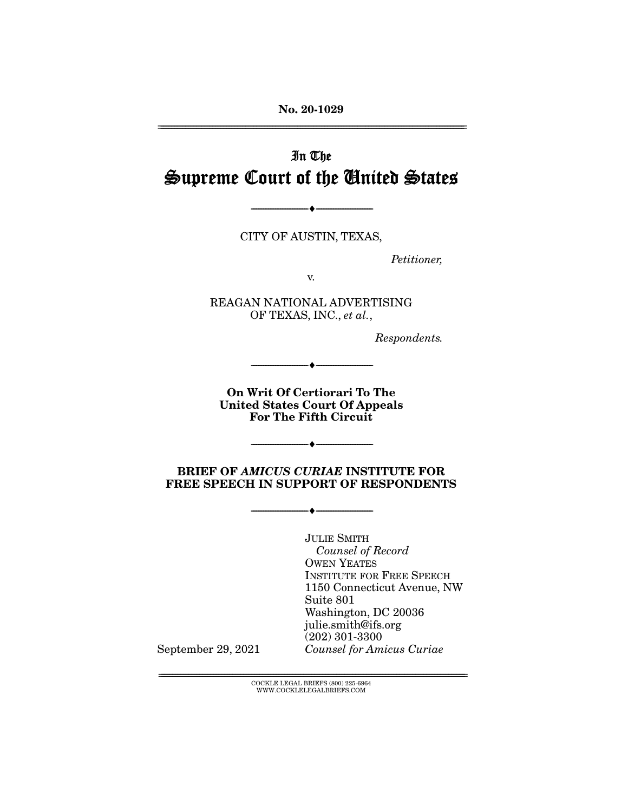**No. 20-1029** 

# In The Supreme Court of the United States

CITY OF AUSTIN, TEXAS,

 $\overbrace{\hspace{27mm}}$   $\overbrace{\hspace{27mm}}$ 

Petitioner,

 $\overline{OR}$  TEXAS, INC., et al.,

Respondents.

**On Writ Of Certiorari To The United States Court Of Appeals For The Fifth Circuit** 

 $\overbrace{\hspace{27mm}}$   $\overbrace{\hspace{27mm}}$ 

**BRIEF OF** *AMICUS CURIAE* **INSTITUTE FOR FREE SPEECH IN SUPPORT OF RESPONDENTS** 

 $\overbrace{\hspace{27mm}}$   $\overbrace{\hspace{27mm}}$ 

 $\longrightarrow$   $\longrightarrow$   $\longrightarrow$ 

**JULIE SMITH**  $$ **OWEN YEATES<br>INSTITUTE FOR FREE SPEECH** 1150 Connecticut Avenue, NW Suite 801 Washington, DC 20036 julie.smith@ifs.org  $(202)$  301-3300 Counsel for Amicus Curiae

September 29, 2021

 ${ \rm COCKLE}$  LEGAL BRIEFS (800) 225-6964 WWW.COCKLELEGALBRIEFS.COM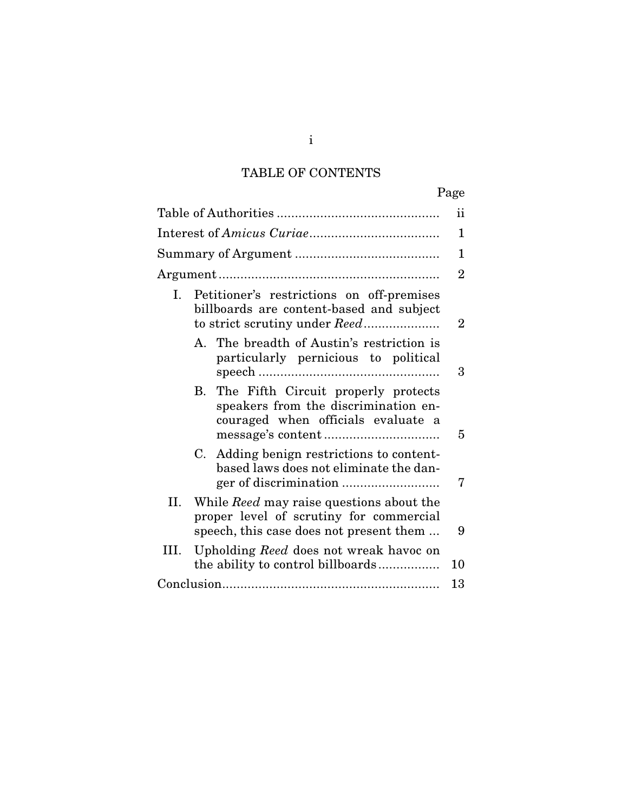# TABLE OF CONTENTS

|      |    |                                                                                                                                       | ii             |  |
|------|----|---------------------------------------------------------------------------------------------------------------------------------------|----------------|--|
|      |    |                                                                                                                                       |                |  |
|      |    |                                                                                                                                       |                |  |
|      |    |                                                                                                                                       |                |  |
| I.   |    | Petitioner's restrictions on off-premises<br>billboards are content-based and subject                                                 | $\overline{2}$ |  |
|      |    | A. The breadth of Austin's restriction is<br>particularly pernicious to political                                                     | 3              |  |
|      |    | B. The Fifth Circuit properly protects<br>speakers from the discrimination en-<br>couraged when officials evaluate a                  | 5              |  |
|      | C. | Adding benign restrictions to content-<br>based laws does not eliminate the dan-                                                      | 7              |  |
| II.  |    | While <i>Reed</i> may raise questions about the<br>proper level of scrutiny for commercial<br>speech, this case does not present them | 9              |  |
| III. |    | Upholding Reed does not wreak havoc on<br>the ability to control billboards                                                           | 10             |  |
|      |    |                                                                                                                                       |                |  |
|      |    |                                                                                                                                       |                |  |

i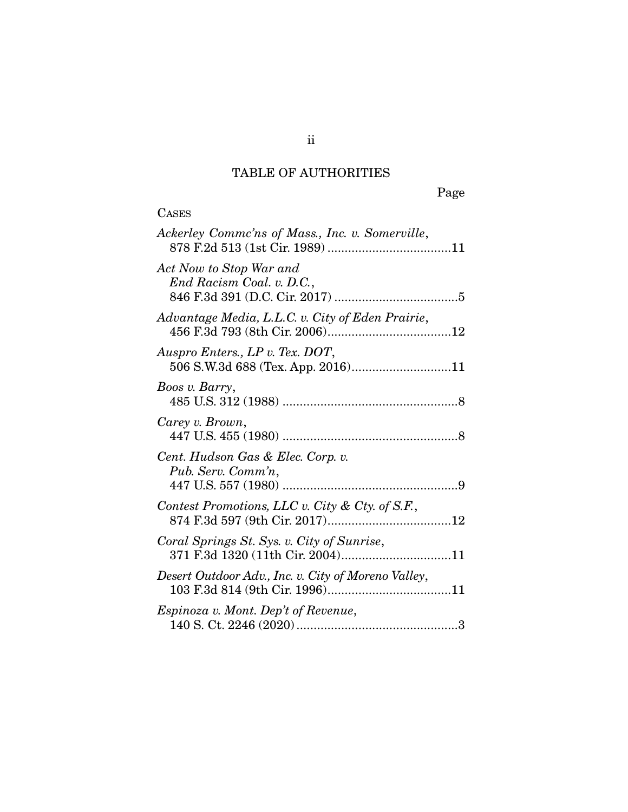# TABLE OF AUTHORITIES

**CASES** 

| Ackerley Commc'ns of Mass., Inc. v. Somerville,                                |
|--------------------------------------------------------------------------------|
| Act Now to Stop War and<br>End Racism Coal. v. D.C.,                           |
| Advantage Media, L.L.C. v. City of Eden Prairie,                               |
| Auspro Enters., LP v. Tex. DOT,<br>506 S.W.3d 688 (Tex. App. 2016)11           |
| Boos v. Barry,                                                                 |
| Carey v. Brown,                                                                |
| Cent. Hudson Gas & Elec. Corp. v.<br>Pub. Serv. Comm'n,                        |
| Contest Promotions, LLC v. City & Cty. of S.F.,                                |
| Coral Springs St. Sys. v. City of Sunrise,<br>371 F.3d 1320 (11th Cir. 2004)11 |
| Desert Outdoor Adv., Inc. v. City of Moreno Valley,                            |
| <i>Espinoza v. Mont. Dep't of Revenue,</i>                                     |
|                                                                                |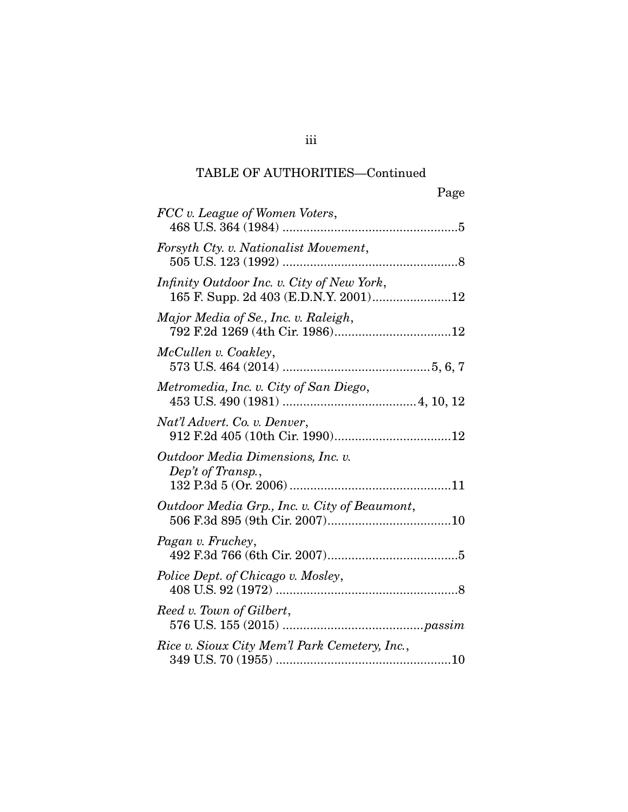## TABLE OF AUTHORITIES—Continued

| Page                                                                                |
|-------------------------------------------------------------------------------------|
| FCC v. League of Women Voters,                                                      |
| Forsyth Cty. v. Nationalist Movement,                                               |
| Infinity Outdoor Inc. v. City of New York,<br>165 F. Supp. 2d 403 (E.D.N.Y. 2001)12 |
| Major Media of Se., Inc. v. Raleigh,                                                |
| McCullen v. Coakley,                                                                |
| Metromedia, Inc. v. City of San Diego,                                              |
| Nat'l Advert. Co. v. Denver,                                                        |
| Outdoor Media Dimensions, Inc. v.<br>Dep't of Transp.,                              |
| Outdoor Media Grp., Inc. v. City of Beaumont,                                       |
| Pagan v. Fruchey,                                                                   |
| Police Dept. of Chicago v. Mosley,                                                  |
| Reed v. Town of Gilbert,                                                            |
| Rice v. Sioux City Mem'l Park Cemetery, Inc.,                                       |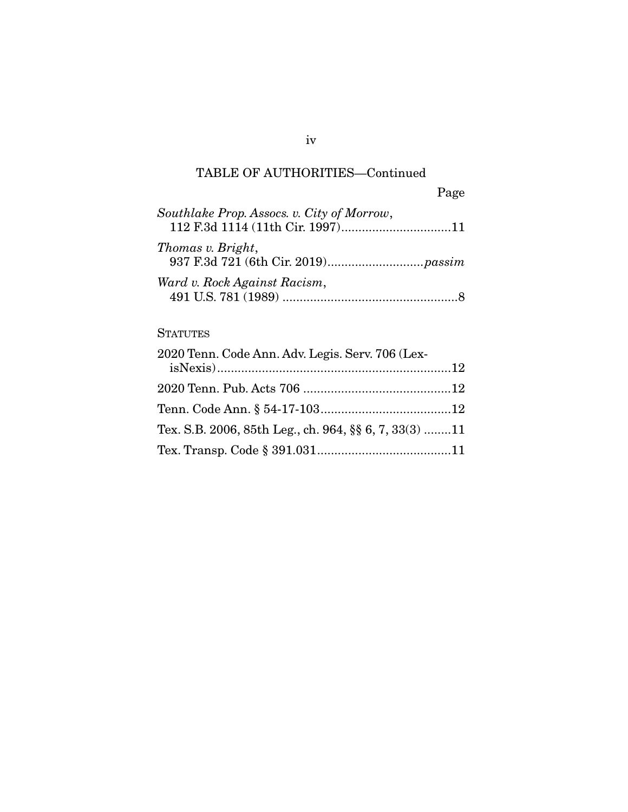## TABLE OF AUTHORITIES—Continued

|                                            | Page |
|--------------------------------------------|------|
| Southlake Prop. Assocs. v. City of Morrow, |      |
| Thomas v. Bright,                          |      |
| Ward v. Rock Against Racism,               |      |

## **STATUTES**

| 2020 Tenn. Code Ann. Adv. Legis. Serv. 706 (Lex-        |  |
|---------------------------------------------------------|--|
|                                                         |  |
|                                                         |  |
|                                                         |  |
| Tex. S.B. 2006, 85th Leg., ch. 964, $\S$ 6, 7, 33(3) 11 |  |
|                                                         |  |
|                                                         |  |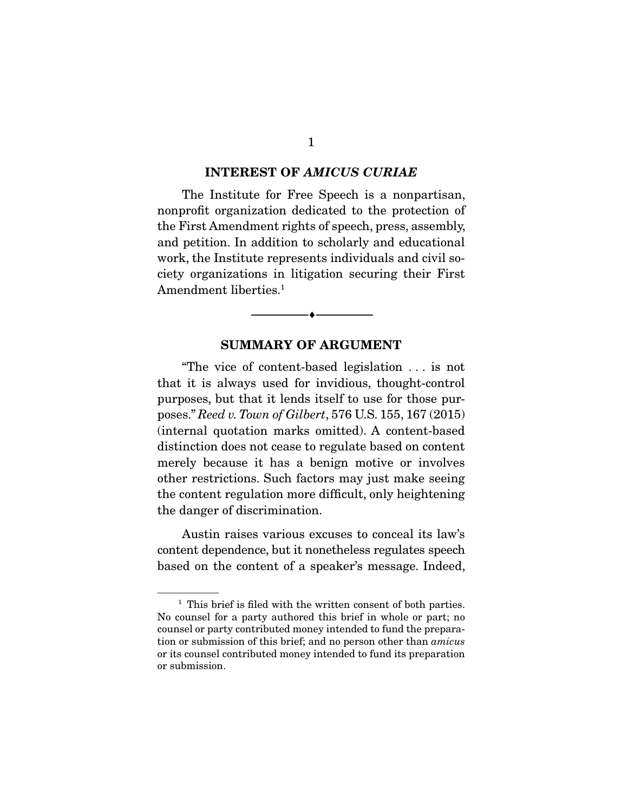#### **INTEREST OF** *AMICUS CURIAE*

The Institute for Free Speech is a nonpartisan, nonprofit organization dedicated to the protection of the First Amendment rights of speech, press, assembly, and petition. In addition to scholarly and educational work, the Institute represents individuals and civil society organizations in litigation securing their First ciety organizations in inequiries securing their First Amendment liberties.1

#### **SUMMARY OF ARGUMENT**

 $\overbrace{\hspace{2.5cm}}$   $\overbrace{\hspace{2.5cm}}$ 

"The vice of content-based legislation ... is not that it is always used for invidious, thought-control purposes, but that it lends itself to use for those purposes." *Reed v. Town of Gilbert*, 576 U.S. 155, 167 (2015) (internal quotation marks omitted). A content-based merely because it has a benign motive or involves other restrictions. Such factors may just make seeing the content regulation more difficult, only heightening  $\frac{1}{2}$  regulation  $\frac{1}{2}$  regulation  $\frac{1}{2}$ the danger of discrimination.

Austin raises various excuses to conceal its law's content dependence, but it nonetheless regulates speech content dependence, but it nonetheless regulates speech based on the content of a speaker's message. Indeed,

<sup>&</sup>lt;sup>1</sup> This brief is filed with the written consent of both parties.<br>No counsel for a party authored this brief in whole or part; no counsel or party contributed money intended to fund the preparacounsel or party contributed money intended to fund the prepara-tion or submission of this brief; and no person other than *amicus*  or its counsel contributed money intended to fund its preparation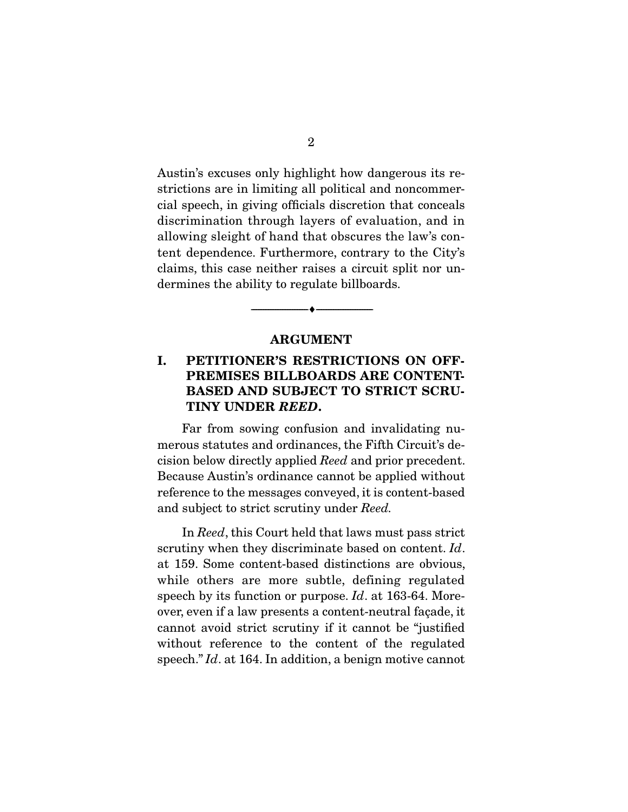Austin's excuses only highlight how dangerous its restrictions are in limiting all political and noncommercial speech, in giving officials discretion that conceals discrimination through layers of evaluation, and in allowing sleight of hand that obscures the law's content dependence. Furthermore, contrary to the City's claims, this case neither raises a circuit split nor un- $\alpha$  case  $\alpha$  case  $\alpha$  case  $\alpha$  case  $\alpha$  case  $\alpha$  case  $\alpha$  case  $\alpha$  case  $\alpha$  case  $\alpha$  case  $\alpha$  case  $\alpha$  case  $\alpha$  case  $\alpha$  case  $\alpha$  case  $\alpha$  case  $\alpha$  case  $\alpha$  case  $\alpha$  case  $\alpha$  case  $\alpha$  case  $\alpha$  case dermines the ability to regulate billboards.

#### **ARGUMENT**

 $\overbrace{\hspace{2.5cm}}$   $\overbrace{\hspace{2.5cm}}$ 

## **I. PETITIONER'S RESTRICTIONS ON OFF-PREMISES BILLBOARDS ARE CONTENT-BASED AND SUBJECT TO STRICT SCRU-TINY UNDER** *REED***.**

Far from sowing confusion and invalidating numerous statutes and ordinances, the Fifth Circuit's deeision below directly applied *Reed* and prior precedent. Because Austin's ordinance cannot be applied without and subject to strict scrutiny under *Reed*.

 In *Reed*, this Court held that laws must pass strict scrutiny when they discriminate based on content. *Id*. at 159. Some content-based distinctions are obvious, while others are more subtle, defining regulated speech by its function or purpose.  $Id$ . at 163-64. More-<br>over even if a law presents a content poutral fogode, it over, even if a law presents a content-neutral façade, it without reference to the content of the regulated speech." *Id.* at 164. In addition, a benign motive cannot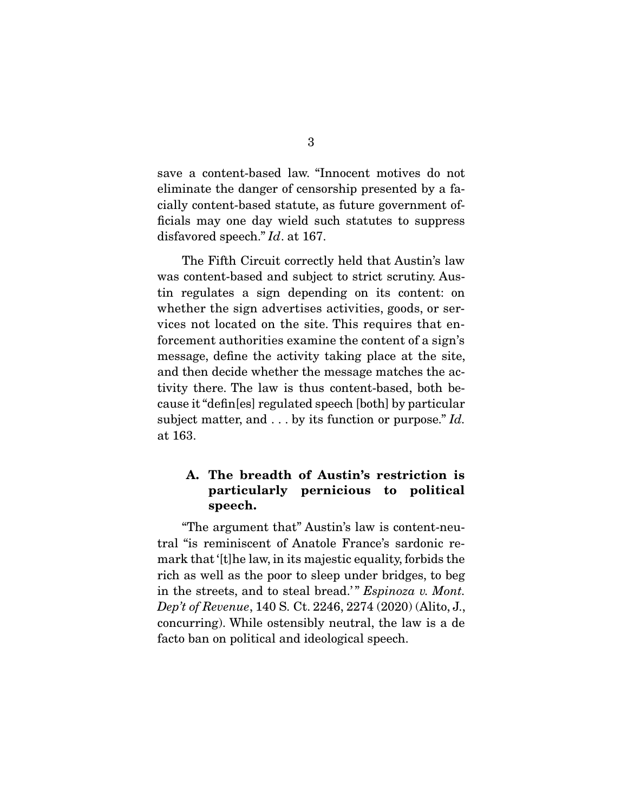save a content-based law. "Innocent motives do not eliminate the danger of censorship presented by a faeially content-based statute, as future government officials may one day wield such statutes to suppress disfavored speech." *Id*. at 167.

The Fifth Circuit correctly held that Austin's law<br>was content-based and subject to strict scrutiny. Austin regulates a sign depending on its content: on whether the sign advertises activities, goods, or services not located on the site. This requires that enforcement authorities examine the content of a sign's message, define the activity taking place at the site, and then decide whether the message matches the activity there. The law is thus content-based, both because it "defin[es] regulated speech [both] by particular subject matter, and  $\dots$  by its function or purpose." *Id.*  $\approx 163$ at 163.<br>...

## **A. The breadth of Austin's restriction is particularly pernicious to political speech.**

 "The argument that" Austin's law is content-neumark that '[t] he law, in its majestic equality, forbids the rich as well as the poor to sleep under bridges, to beg in the streets, and to steal bread.'" *Espinoza v. Mont.*<br>Dep't of Bevenue 140 S. Ct. 2246, 2274 (2020) (Alito J. *Dep't of Revenue*, 140 S. Ct. 2246, 2274 (2020) (Alito, J., concurring). While ostensibly neutral, the law is a de facto ban on political and ideological speech. facto ban on political and ideological speech.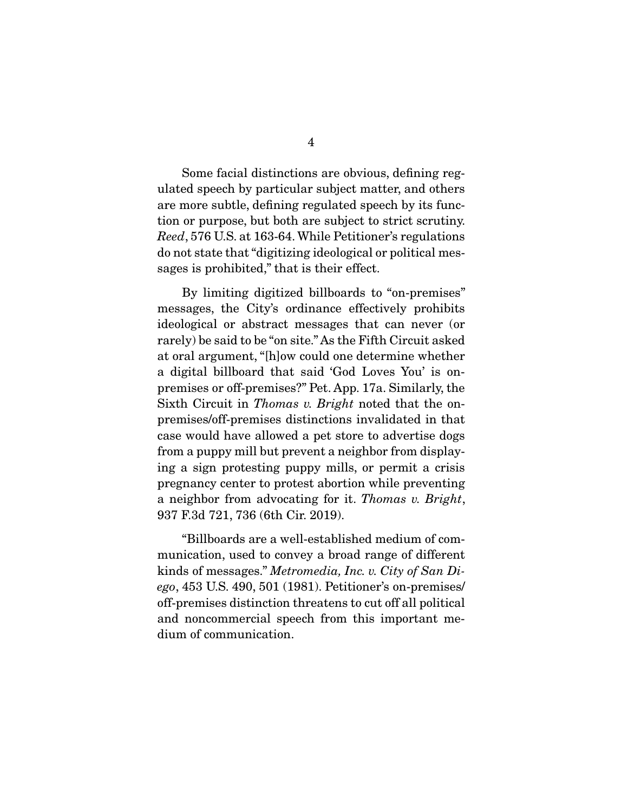Some facial distinctions are obvious, defining regulated speech by particular subject matter, and others are more subtle, defining regulated speech by its function or purpose, but both are subject to strict scrutiny. *Reed*, 576 U.S. at 163-64. While Petitioner's regulations  $\frac{d}{dt}$  are not state that  $\frac{d}{dt}$  which is their effect sages is  $p \mapsto \frac{1}{p}$  that is the is the is the is the is the is the is the is the is the is the is the is the is the is the is the is the is the is the is the is the is the is the is the is the is the is the is the is t

By limiting digitized billboards to "on-premises" messages, the City's ordinance effectively prohibits ideological or abstract messages that can never (or rarely) be said to be "on site." As the Fifth Circuit asked at oral argument, "[h]ow could one determine whether a digital billboard that said 'God Loves You' is onpremises or off-premises?" Pet. App. 17a. Similarly, the premises or on premises?" Peterper can semi-marge, the Sixth Circuit in *Thomas v. Bright* noted that the onpremises/off-premises distinctions invalidated in that from a puppy mill but prevent a neighbor from displaying a sign protesting puppy mills, or permit a crisis pregnancy center to protest abortion while preventing a neighbor from advocating for it. *Thomas v. Bright*,<br>937 F 3d 791 736 (6th Cir. 2019) 937 F.3d 721, 736 (6th Cir. 2019).

 "Billboards are a well-established medium of comkinds of messages." *Metromedia, Inc. v. City of San Di-*<br>
ego 453 US 490, 501 (1981) Potitioner's an promises *ego*, 453 U.S. 490, 501 (1981). Petitioner's on-premises/ and noncommercial speech from this important medium of communication. dium of communication.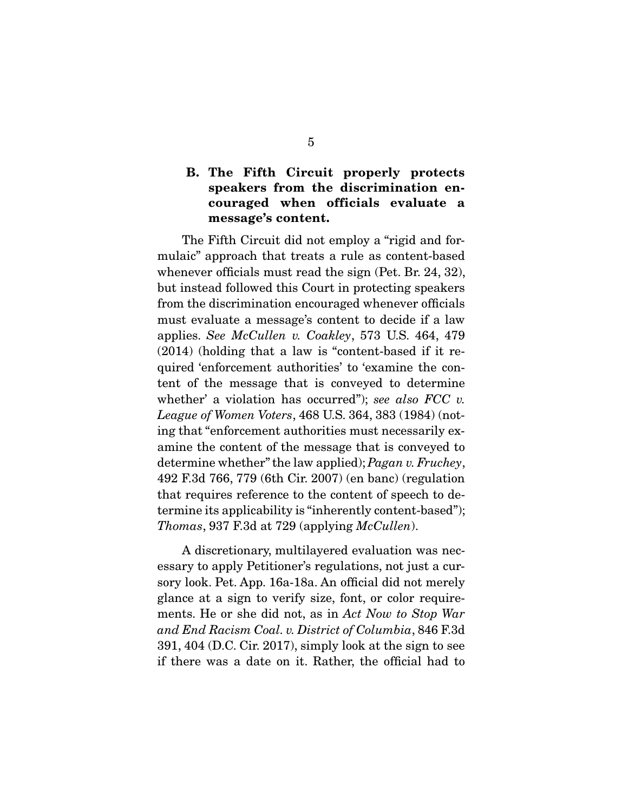### **B. The Fifth Circuit properly protects speakers from the discrimination encouraged when officials evaluate a message's content.**

The Fifth Circuit did not employ a "rigid and for-<br>mulaic" approach that treats a rule as content-based whenever officials must read the sign (Pet. Br. 24, 32), but instead followed this Court in protecting speakers. from the discrimination encouraged whenever officials must evaluate a message's content to decide if a law applies. *See McCullen v. Coakley*, 573 U.S. 464, 479 (2014) (holding that a law is "content-based if it retent of the message that is conveyed to determine whether' a violation has occurred"); *see also FCC v.*<br>Leggue of Women Voters, 468 U.S. 364, 383 (1084) (pot *League of Women Voters*, 468 U.S. 364, 383 (1984) (notamine the content of the message that is conveyed to determine whether" the law applied); *Pagan v. Fruchey*,<br>499 E 3d 766, 779 (6th Cir. 2007) (on bane) (regulation 492 F.3d 766, 779 (6th Cir. 2007) (en banc) (regulation termine its applicability is "inherently content-based");  $Thomas, 937$  F.3d at 729 (applying *McCullen*).

A discretionary, multilayered evaluation was necessary to apply Petitioner's regulations, not just a cursory look. Pet. App. 16a-18a. An official did not merely glance at a sign to verify size, font, or color requireglance at a sign to verify size, size, for color require-<br>and End Basism Cool, p. District of Columbia, 846 F.3d. *and End Racism Coal. v. District of Columbia*, 846 F.3d if there was a date on it. Rather, the official had to if there was a date on it. Rather, the official had to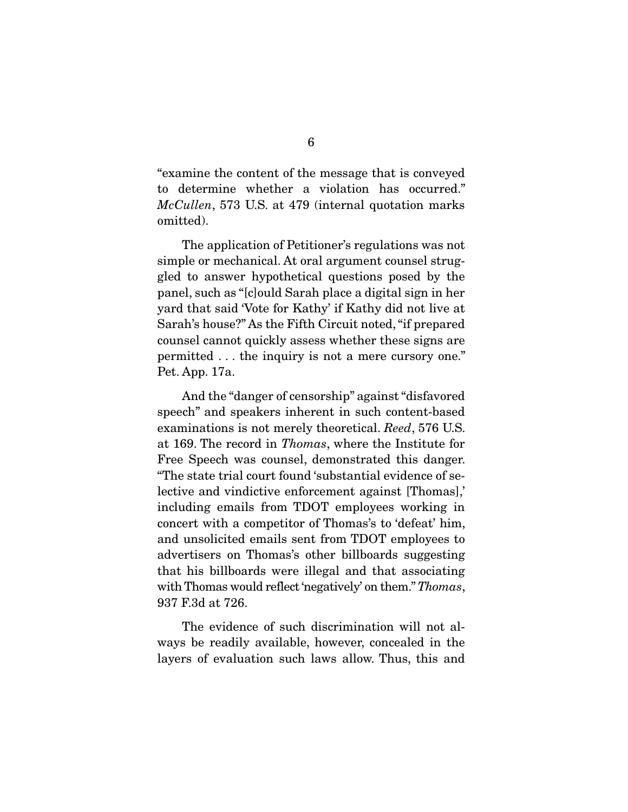"examine the content of the message that is conveyed *McCullen*, 573 U.S. at 479 (internal quotation marks emitted). omitted).

The application of Petitioner's regulations was not simple or mechanical. At oral argument counsel struggled to answer hypothetical questions posed by the panel, such as "[c] ould Sarah place a digital sign in her yard that said 'Vote for Kathy' if Kathy did not live at Sarah's house?" As the Fifth Circuit noted, "if prepared" counsel cannot quickly assess whether these signs are permitted  $\dots$  the inquiry is not a mere cursory one."  $\frac{1}{2}$  between  $\frac{1}{2}$   $\frac{1}{2}$  and  $\frac{1}{2}$  mere cursors on  $\frac{1}{2}$  and  $\frac{1}{2}$  mere cursos one.  $\frac{1}{2}$  and  $\frac{1}{2}$  mere cursos one.  $\frac{1}{2}$  and  $\frac{1}{2}$  mere cursos of  $\frac{1}{2}$  mere cursos of  $\frac{1}{2$ Pet. App. 17a.

And the "danger of censorship" against "disfavored<br>speech" and speakers inherent in such content-based examinations is not merely theoretical. *Reed*, 576 U.S. at 169. The record in *Thomas*, where the Institute for "The state trial court found 'substantial evidence of selective and vindictive enforcement against [Thomas],' including emails from TDOT employees working in concert with a competitor of Thomas's to 'defeat' him, and unsolicited emails sent from TDOT employees to advertisers on Thomas's other billboards suggesting that his billboards were illegal and that associating with Thomas would reflect 'negatively' on them." *Thomas*,<br>937 F 3d et 726 937 F.3d at 726.

The evidence of such discrimination will not always be readily available, however, concealed in the  $\frac{1}{2}$ layers of evaluation such laws allow. Thus, this and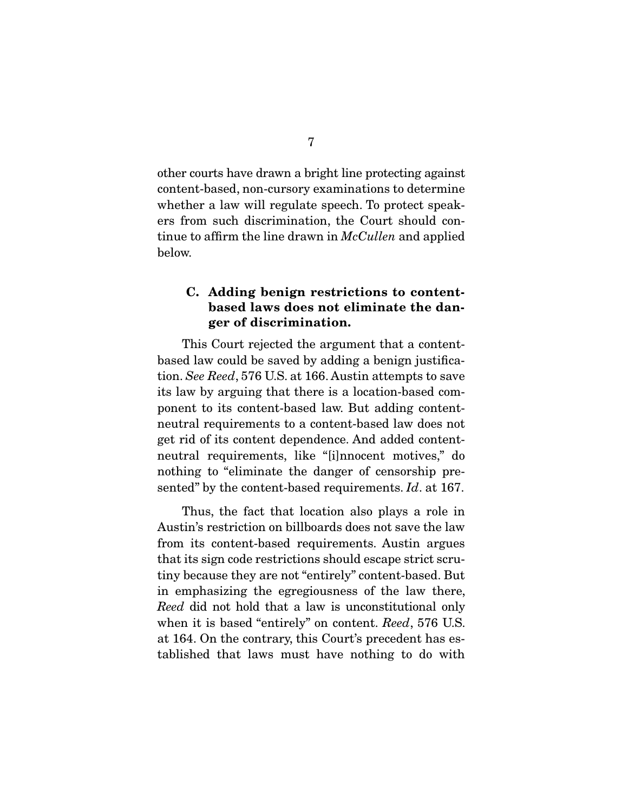other courts have drawn a bright line protecting against whether a law will regulate speech. To protect speakers from such discrimination, the Court should continue to affirm the line drawn in *McCullen* and applied below. below.

### **C. Adding benign restrictions to contentbased laws does not eliminate the danger of discrimination.**

This Court rejected the argument that a content-<br>based law could be saved by adding a benign justification. *See Reed*, 576 U.S. at 166. Austin attempts to save<br>title law by arguing that there is a location based comits law by arguing that there is a location-based comneutral requirements to a content-based law does not get rid of its content dependence. And added contentneutral requirements, like "[i]nnocent motives," do nothing to "eliminate the danger of censorship presented" by the content-based requirements. *Id*. at 167.

Thus, the fact that location also plays a role in<br>Austin's restriction on billboards does not save the law from its content-based requirements. Austin argues that its sign code restrictions should escape strict scrutiny because they are not "entirely" content-based. But in emphasizing the egregiousness of the law there, *Reed* did not hold that a law is unconstitutional only when it is based "entirely" on content. *Reed*, 576 U.S. at 164. On the contrary, this Court's precedent has established that laws must have nothing to do with  $\frac{1}{\sqrt{2}}$  tablished that laws must have not  $\frac{1}{\sqrt{2}}$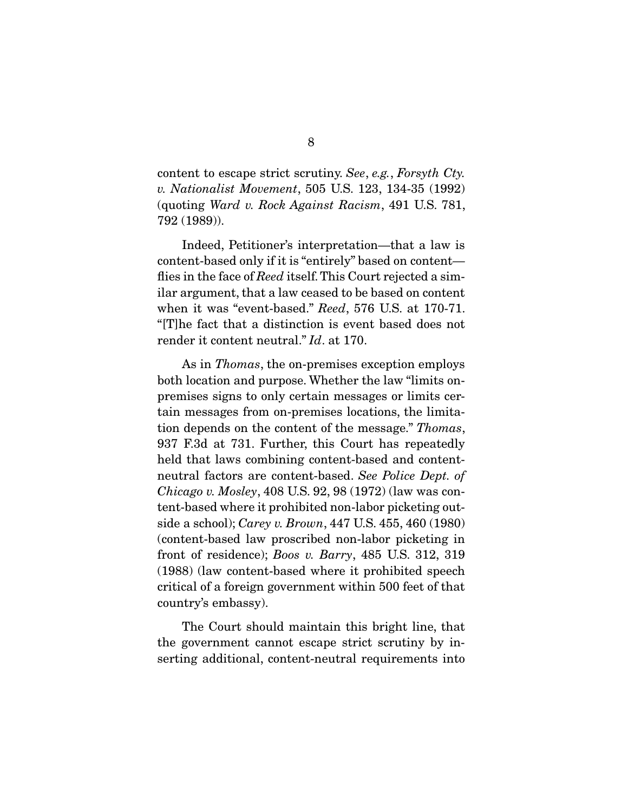content to escape strict scrutiny. *See*, *e.g.*, *Forsyth Cty. v. Nationalist Movement*, 505 U.S. 123, 134-35 (1992) (quoting *Ward v. Rock Against Racism*, 491 U.S. 781, 792 (1989)).

Indeed, Petitioner's interpretation—that a law is content-based only if it is "entirely" based on content flies in the face of *Reed* itself. This Court rejected a sim-<br>jlar argument, that a law coased to be based on content when it was "event-based." *Reed*, 576 U.S. at 170-71.<br>"The feet that a distinction is event based does not render it content neutral." *Id*. at 170.

As in *Thomas*, the on-premises exception employs both location and purpose. Whether the law "limits onpremises signs to only certain messages or limits certain messages from on-premises locations, the limitation depends on the content of the message." *Thomas*,  $\frac{1}{2}$ <br>027 F2d et 731 Further this Court has repeatedly 937 F.3d at 731. Further, this Court has repeatedly held that laws combining content-based and contentheutral factors are content-based. *See Police Dept. of*<br>Chieses u Mesley, 408 US, 92, 98 (1972) (low was sep *Chicago v. Mosley*, 408 U.S. 92, 98 (1972) (law was content-based where it proves it produced it produced it proves that the school); *Carey v. Brown*, 447 U.S. 455, 460 (1980) front of residence); *Boos v. Barry*, 485 U.S. 312, 319<br>(1988) (law centent based where it prehibited speech (1988) (law content-based where it prohibited speech  $\frac{1}{2}$   $\frac{1}{2}$   $\frac{1}{2}$   $\frac{1}{2}$   $\frac{1}{2}$   $\frac{1}{2}$   $\frac{1}{2}$   $\frac{1}{2}$   $\frac{1}{2}$   $\frac{1}{2}$   $\frac{1}{2}$   $\frac{1}{2}$   $\frac{1}{2}$   $\frac{1}{2}$   $\frac{1}{2}$   $\frac{1}{2}$   $\frac{1}{2}$   $\frac{1}{2}$   $\frac{1}{2}$   $\frac{1}{2}$   $\frac{1}{2}$   $\frac{1}{2}$  country's embassy).

The Court should maintain this bright line, that the government cannot escape strict scrutiny by in- $\frac{1}{2}$  the government cannot excreme strict strict scruting strict scruting strict scruting strict scruting strict scruting strict scruting strict scruting scruting strict scruting scruting scruting scruting scruting s serting additional, content-neutral requirements into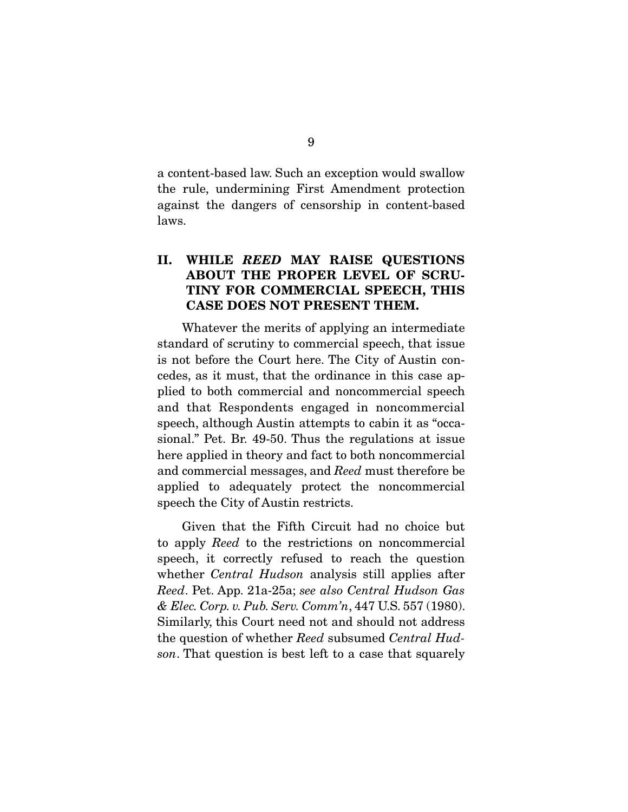a content-based law. Such an exception would swallow against the dangers of censorship in content-based against the dangers of censorship in content-based laws.

## **II. WHILE** *REED* **MAY RAISE QUESTIONS ABOUT THE PROPER LEVEL OF SCRU-TINY FOR COMMERCIAL SPEECH, THIS CASE DOES NOT PRESENT THEM.**

Whatever the merits of applying an intermediate standard of scrutiny to commercial speech, that issue is not before the Court here. The City of Austin concedes, as it must, that the ordinance in this case applied to both commercial and noncommercial speech and that Respondents engaged in noncommercial speech, although Austin attempts to cabin it as "occasional." Pet. Br. 49-50. Thus the regulations at issue here applied in theory and fact to both noncommercial. and commercial messages, and *Reed* must therefore be applied to adequately protect the noncommercial speech the City of Austin restricts.  $s_p$  the City of Austin restricts.

Given that the Fifth Circuit had no choice but to apply *Reed* to the restrictions on noncommercial whether *Central Hudson* analysis still applies after<br>Read Bet. App. 21a 25a: see also *Central Hudson Gas*. *Reed*. Pet. App. 21a-25a; *see also Central Hudson Gas & Elec. Corp. v. Pub. Serv. Comm'n*, 447 U.S. 557 (1980). the question of whether *Reed* subsumed *Central Hud-*<br>
and That question is best left to a gase that squarely *son*. That question is best left to a case that squarely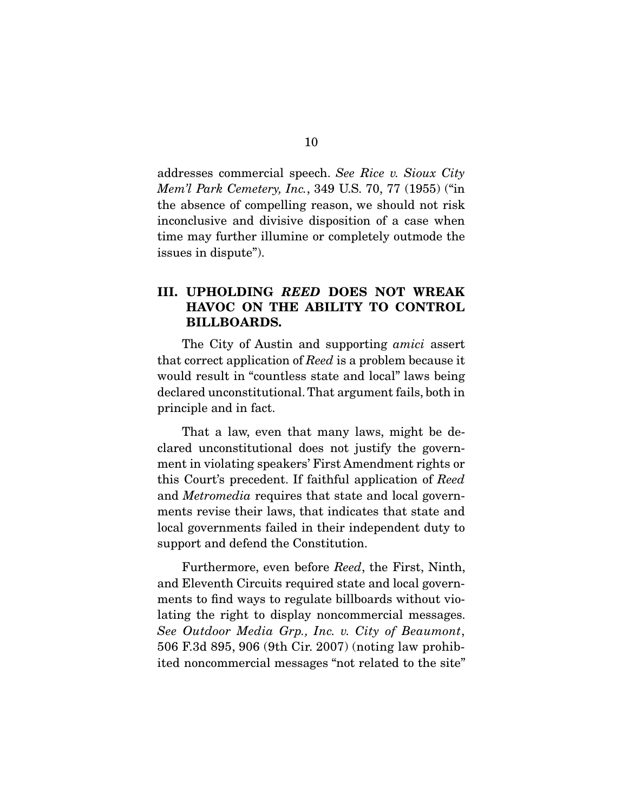addresses commercial speech. *See Rice v. Sioux City Mem'l Park Cemetery, Inc.*, 349 U.S. 70, 77 (1955) ("in the absence of compelling reason, we should not risk inconclusive and divisive disposition of a case when time may further illumine or completely outmode the  $t_{\text{refusion}}$  in diampto<sup>n</sup>)  $\sum_{i=1}^{n}$ 

## **III. UPHOLDING** *REED* **DOES NOT WREAK HAVOC ON THE ABILITY TO CONTROL BILLBOARDS.**

The City of Austin and supporting *amici* assert that correct application of *Reed* is a problem because it declared unconstitutional. That argument fails, both in principle and in fact.  $\mathbf{p}$  in fact, in fact, in fact, in fact, in fact, in fact, in fact, in fact, in fact, in fact, in fact, in fact, in  $\mathbf{p}$ 

That a law, even that many laws, might be de-<br>clared unconstitutional does not justify the government in violating speakers' First Amendment rights or this Court's precedent. If faithful application of *Reed*<br>and *Metropolic* requires that state and less govern and *Metromedia* requires that state and local governments revise their laws, that indicates that state and local governments failed in their independent duty to support and defend the Constitution. support and defend the Constitution.

 Furthermore, even before *Reed*, the First, Ninth, ments to find ways to regulate billboards without violating the right to display noncommercial messages. lating the right to display noncommercial messages. *See Outdoor Media Grp., Inc. v. City of Beaumont*,  $\frac{1}{2}$  for  $\frac{1}{2}$   $\frac{1}{2}$   $\frac{1}{2}$   $\frac{1}{2}$   $\frac{1}{2}$   $\frac{1}{2}$   $\frac{1}{2}$   $\frac{1}{2}$   $\frac{1}{2}$   $\frac{1}{2}$   $\frac{1}{2}$   $\frac{1}{2}$   $\frac{1}{2}$   $\frac{1}{2}$   $\frac{1}{2}$   $\frac{1}{2}$   $\frac{1}{2}$   $\frac{1}{2}$   $\frac{1}{2}$   $\frac{1}{2}$   $\frac{1}{2$ ited noncommercial messages "not related to the site"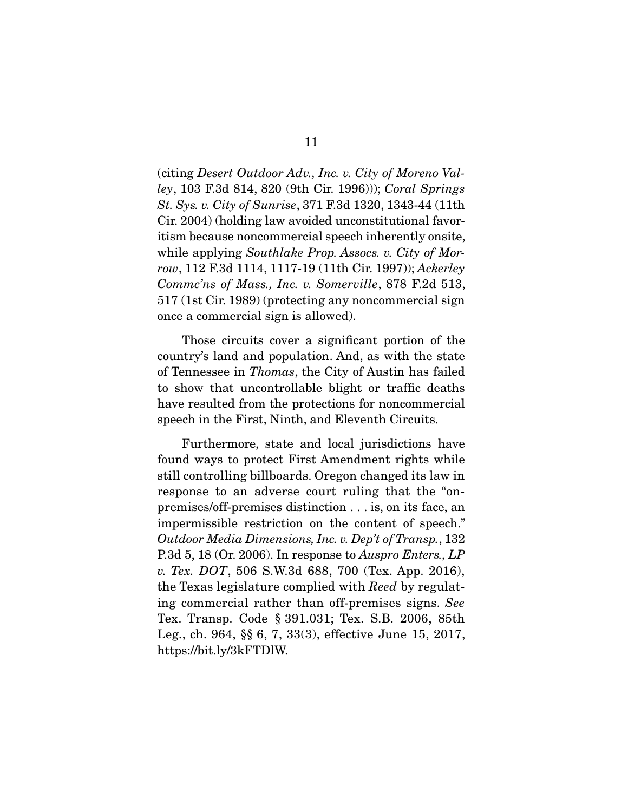(citing *Desert Outdoor Adv., Inc. v. City of Moreno Valley*, 103 F.3d 814, 820 (9th Cir. 1996))); *Coral Springs St. Sys. v. City of Sunrise*, 371 F.3d 1320, 1343-44 (11th itism because noncommercial speech inherently onsite, while applying *Southlake Prop. Assocs. v. City of Mor-*<br>reg. 119 E 3d 1114, 1117 19 (11th Cir. 1997)); Ackerley *row*, 112 F.3d 1114, 1117-19 (11th Cir. 1997)); *Ackerley Commc'ns of Mass., Inc. v. Somerville*, 878 F.2d 513, once a commercial sign is allowed).  $\overline{a}$ 

Those circuits cover a significant portion of the country's land and population. And, as with the state of Tennessee in *Thomas*, the City of Austin has failed<br>to show that uncentrellable blight or traffic deaths to show that uncontrollable blight or traffic deaths have resulted from the protections for noncommercial speech in the First, Ninth, and Eleventh Circuits.

Furthermore, state and local jurisdictions have<br>found ways to protect First Amendment rights while still controlling billboards. Oregon changed its law in response to an adverse court ruling that the "onpremises/off-premises distinction  $\dots$  is, on its face, an impermissible restriction on the content of speech." impermissible restriction on the content of speech." *Outdoor Media Dimensions, Inc. v. Dep't of Transp.*, 132 P.3d 5, 18 (Or. 2006). In response to *Auspro Enters., LP v. Tex. DOT*, 506 S.W.3d 688, 700 (Tex. App. 2016), the Texas legislature complied with *Reed* by regulating commercial rather than off-premises signs. *See* Leg., ch. 964,  $\S$  $6, 7, 33(3)$ , effective June 15, 2017,  $\text{https://bit-1v/3}~\text{EPTDIW}$  $\mathbf{h}_1$  and  $\mathbf{v}_2$  is  $\mathbf{v}_1$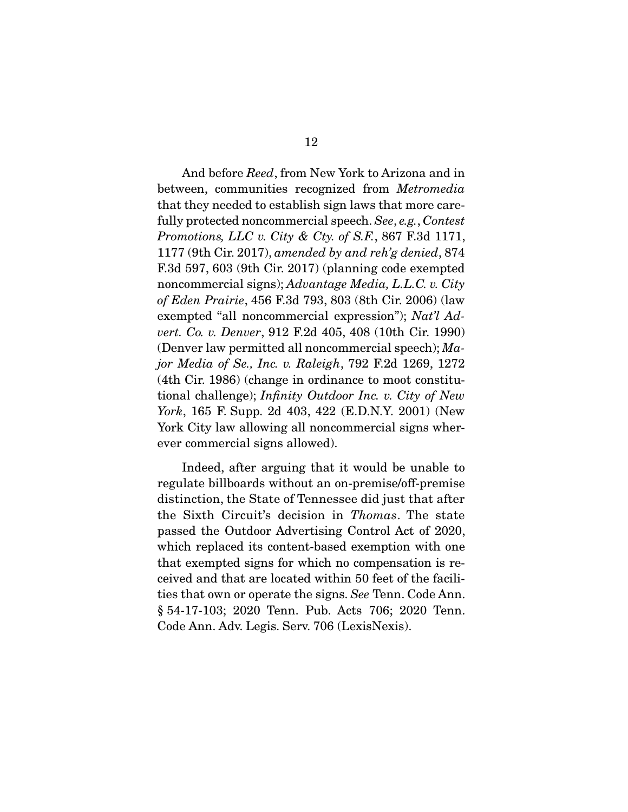And before *Reed*, from New York to Arizona and in between, communities recognized from *Metromedia*  fully protected noncommercial speech. *See*, *e.g.*, *Contest*<br>Promotions *LLC*<sub>n</sub>, *City & Cty of S E*<sub>,</sub> 867 E3d 1171 *Promotions, LLC v. City & Cty. of S.F.*, 867 F.3d 1171, 1177 (9th Cir. 2017), *amended by and reh'g denied*, 874 noncommercial signs); *Advantage Media, L.L.C. v. City* of Edga Prairie 456 F 3d 703, 803 (8th Cir. 2006) (law *of Eden Prairie*, 456 F.3d 793, 803 (8th Cir. 2006) (law exempted "all noncommercial expression"); *Nat'l Advert. Co. v. Denver*, 912 F.2d 405, 408 (10th Cir. 1990) (Denver law permitted all noncommercial speech); *Major Media of Se., Inc. v. Raleigh*, 792 F.2d 1269, 1272  $\frac{d}{dx}$  Circuit Constitutional challenge); *Infinity Outdoor Inc. v. City of New*  $\frac{d}{dx}$  F Supp. 2d 403, 422 (F D N V, 2001) (New *York*, 165 F. Supp. 2d 403, 422 (E.D.N.Y. 2001) (New York City law allowing all noncommercial signs wherever commercial signs allowed).

Indeed, after arguing that it would be unable to regulate billboards without an on-premise/off-premise distinction, the State of Tennessee did just that after the Sixth Circuit's decision in *Thomas*. The state passed the Outdoor Advertising Control Act of 2020. passed the Outdoor Advertising Control Act of 2020, that exempted signs for which no compensation is rethe ceived and that are located within 50 feet of the facilities that own or operate the signs. *See* Tenn. Code Ann.<br>8.54.17.103: 2020. Tonn. Pub. Acts. 706: 2020. Tonn.  $\frac{1}{\pi}$ Code Ann. Adv. Legis. Serv. 706 (LexisNexis).